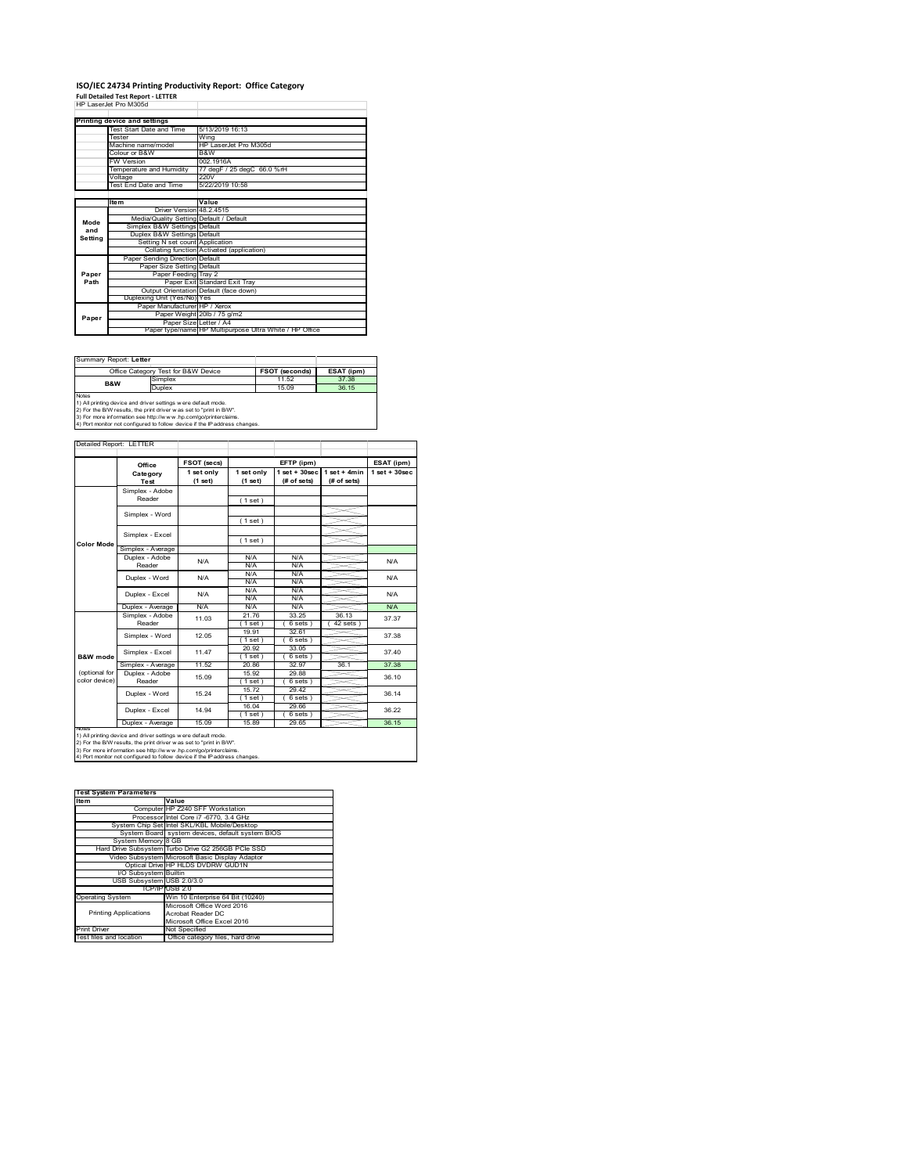### **ISO/IEC 24734 Printing Productivity Report: Office Category Full Detailed Test Report ‐ LETTER** HP LaserJet Pro M305d

|         | 62 LASHLIHI PIO MJUJO                   |                                                         |  |  |  |
|---------|-----------------------------------------|---------------------------------------------------------|--|--|--|
|         |                                         |                                                         |  |  |  |
|         | Printing device and settings            |                                                         |  |  |  |
|         | Test Start Date and Time                | 5/13/2019 16:13                                         |  |  |  |
|         | Tester                                  | Wing                                                    |  |  |  |
|         | Machine name/model                      | HP LaserJet Pro M305d                                   |  |  |  |
|         | Colour or B&W                           | B&W                                                     |  |  |  |
|         | <b>FW Version</b>                       | 002.1916A                                               |  |  |  |
|         | Temperature and Humidity                | 77 degF / 25 degC 66.0 %rH                              |  |  |  |
|         | Voltage                                 | 220V                                                    |  |  |  |
|         | Test End Date and Time                  | 5/22/2019 10:58                                         |  |  |  |
|         |                                         |                                                         |  |  |  |
|         | <b>Item</b>                             | Value                                                   |  |  |  |
|         | Driver Version 48.2.4515                |                                                         |  |  |  |
| Mode    | Media/Quality Setting Default / Default |                                                         |  |  |  |
| and     | Simplex B&W Settings Default            |                                                         |  |  |  |
| Setting | Duplex B&W Settings Default             |                                                         |  |  |  |
|         | Setting N set count Application         |                                                         |  |  |  |
|         |                                         | Collating function Activated (application)              |  |  |  |
|         | Paper Sending Direction Default         |                                                         |  |  |  |
|         | Paper Size Setting Default              |                                                         |  |  |  |
| Paper   | Paper Feeding Tray 2                    |                                                         |  |  |  |
| Path    |                                         | Paper Exit Standard Exit Tray                           |  |  |  |
|         |                                         | Output Orientation Default (face down)                  |  |  |  |
|         | Duplexing Unit (Yes/No) Yes             |                                                         |  |  |  |
|         | Paper Manufacturer HP / Xerox           |                                                         |  |  |  |
| Paper   |                                         | Paper Weight 20lb / 75 g/m2                             |  |  |  |
|         | Paper Size Letter / A4                  |                                                         |  |  |  |
|         |                                         | Paper type/name HP Multipurpose Ultra White / HP Office |  |  |  |

| Summary Report: Letter |                                                                                                                                                                                                                                                                                        |                       |            |
|------------------------|----------------------------------------------------------------------------------------------------------------------------------------------------------------------------------------------------------------------------------------------------------------------------------------|-----------------------|------------|
|                        | Office Category Test for B&W Device                                                                                                                                                                                                                                                    | <b>FSOT (seconds)</b> | ESAT (ipm) |
| <b>B&amp;W</b>         | Simplex                                                                                                                                                                                                                                                                                | 11.52                 | 37.38      |
|                        | Duplex                                                                                                                                                                                                                                                                                 | 15.09                 | 36 15      |
| <b>Notes</b>           | 1) All printing device and driver settings w ere default mode.<br>2) For the B/W results, the print driver was set to "print in B/W".<br>3) For more information see http://www.hp.com/go/printerclaims.<br>4) Port monitor not configured to follow device if the IP address changes. |                       |            |

**FETP** (ipm) **ESAT** (ipm) **1 set only (1 set) 1 set only (1 set) 1 set + 30sec (# of sets) 1 set + 4min (# of sets) 1 set + 30sec** ( 1 set ) ( 1 set ) ( 1 set ) Simplex - Average Duplex - Adobe  $N/f$ N/A N/A N/A N/A N/A N/A N/A N/A  $N/A$   $N/A$   $N$ Puplex - Average N/A N/A N/A N/A N/A N/A N/A N/A<br>
Simplex - Adobe 11.03 21.76 33.25 36.13 37.3<br>
Reader 1.03 (1.set) (6.sets) (42.sets) 37.3 21.76 33.25 36.13  $( 6 \text{ sets } )$   $( 42 \text{ sets } )$ <br>32.61 19.91 32.61 ( 1 set ) ( 6 sets ) 20.92 33.05  $\frac{1 \text{ set}}{1 \text{ set}}$  (6 set<br>20.86 32.97 Simplex - Average 11.52 20.86 32.97 36.1 37.38<br>
Duplex - Adobe 15.09 15.59 29.88 36.10<br>
Reader 15.09 1.1 68ets 15.92 29.88<br>(1 set) (6 sets 1 set ) ( 6 sets )<br>15.72 29.42 29.42  $( 6 \text{ sets } )$ <br> $29.66$  $(1 set)$ <br> $(1 6.04)$ <br> $(1 set)$ <br> $(1 5.89)$  $(6)$  set  $\frac{1}{29}$  6 Duplex - Average | 15.09 | 15.89 | 29.65 | 36.15 37.40 tailed Report: LETTER **FSOT** (secs) **Category Test** N/A N/A N/A N/A Simplex - Word notes<br>1) All printing device and driver settings were default mode.<br>2) For the B/W results, the print driver was set to "print in B/W".<br>3) For more information see http://www.hp.com/go/printerclaims.<br>4) Por moralitor not c **B&W** mod (optional for color device) **Color Mode** Simplex - Adobe Reader Simplex - Excel Simplex - Word 12.05 Duplex - Excel Reader Duplex - Word  $15.09$   $15.32$   $23.00$   $36.10$ N/A 14.94 Duplex - Word Duplex - Excel 36.14 36.22 15.24 Simplex - Excel 11.47 11.03 N/A 37.37 37.38

| <b>Test System Parameters</b> |                                                    |
|-------------------------------|----------------------------------------------------|
| Item                          | Value                                              |
|                               | Computer HP Z240 SFF Workstation                   |
|                               | Processor Intel Core i7 -6770, 3.4 GHz             |
|                               | System Chip Set Intel SKL/KBL Mobile/Desktop       |
|                               | System Board system devices, default system BIOS   |
| System Memory 8 GB            |                                                    |
|                               | Hard Drive Subsystem Turbo Drive G2 256GB PCle SSD |
|                               | Video Subsystem Microsoft Basic Display Adaptor    |
|                               | Optical Drive HP HLDS DVDRW GUD1N                  |
| I/O Subsystem Builtin         |                                                    |
| USB Subsystem USB 2.0/3.0     |                                                    |
|                               | TCP/IP USB 2.0                                     |
| <b>Operating System</b>       | Win 10 Enterprise 64 Bit (10240)                   |
|                               | Microsoft Office Word 2016                         |
| <b>Printing Applications</b>  | Acrobat Reader DC                                  |
|                               | Microsoft Office Excel 2016                        |
| <b>Print Driver</b>           | Not Specified                                      |
| Test files and location       | Office category files, hard drive                  |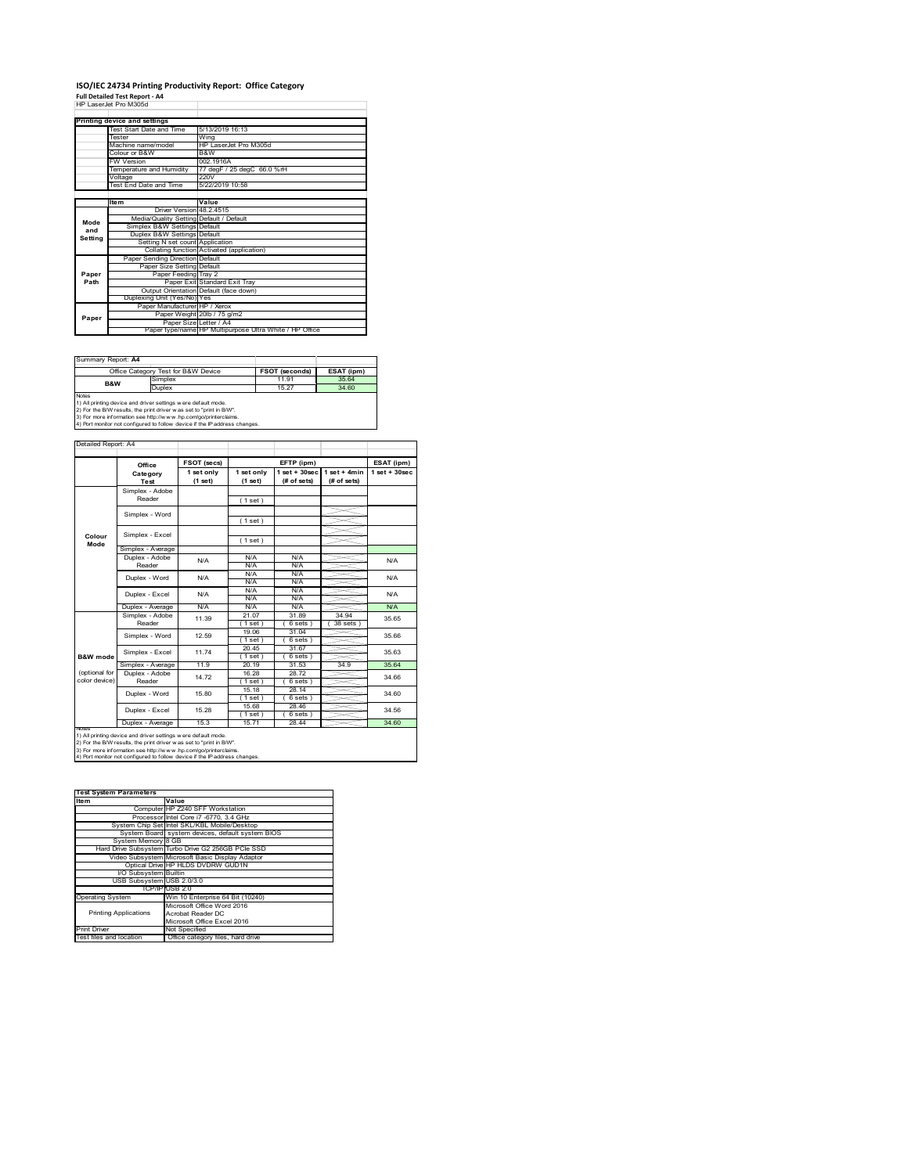### **ISO/IEC 24734 Printing Productivity Report: Office Category Full Detailed Test Report ‐ A4** HP LaserJet Pro M305d

|         | 62 LASHLIHI PIO MJUJO                   |                                                         |
|---------|-----------------------------------------|---------------------------------------------------------|
|         |                                         |                                                         |
|         | Printing device and settings            |                                                         |
|         | Test Start Date and Time                | 5/13/2019 16:13                                         |
|         | <b>Tester</b>                           | Wing                                                    |
|         | Machine name/model                      | HP LaserJet Pro M305d                                   |
|         | Colour or B&W                           | B&W                                                     |
|         | <b>FW Version</b>                       | 002.1916A                                               |
|         | Temperature and Humidity                | 77 degF / 25 degC 66.0 %rH                              |
|         | Voltage                                 | 220V                                                    |
|         | Test End Date and Time                  | 5/22/2019 10:58                                         |
|         |                                         |                                                         |
|         | <b>Item</b>                             | Value                                                   |
|         | Driver Version 48.2.4515                |                                                         |
| Mode    | Media/Quality Setting Default / Default |                                                         |
| and     | Simplex B&W Settings Default            |                                                         |
| Setting | Duplex B&W Settings Default             |                                                         |
|         | Setting N set count Application         |                                                         |
|         |                                         | Collating function Activated (application)              |
|         | Paper Sending Direction Default         |                                                         |
|         | Paper Size Setting Default              |                                                         |
| Paper   | Paper Feeding Tray 2                    |                                                         |
| Path    |                                         | Paper Exit Standard Exit Tray                           |
|         |                                         | Output Orientation Default (face down)                  |
|         | Duplexing Unit (Yes/No) Yes             |                                                         |
|         | Paper Manufacturer HP / Xerox           |                                                         |
| Paper   |                                         | Paper Weight 20lb / 75 g/m2                             |
|         | Paper Size Letter / A4                  |                                                         |
|         |                                         | Paper type/name HP Multipurpose Ultra White / HP Office |

| Summary Report: A4                                                                                                                                                                                                                                                                                    |                                     |                       |            |  |
|-------------------------------------------------------------------------------------------------------------------------------------------------------------------------------------------------------------------------------------------------------------------------------------------------------|-------------------------------------|-----------------------|------------|--|
|                                                                                                                                                                                                                                                                                                       | Office Category Test for B&W Device | <b>FSOT (seconds)</b> | ESAT (ipm) |  |
| B&W                                                                                                                                                                                                                                                                                                   | Simplex                             | 11.91                 | 35.64      |  |
|                                                                                                                                                                                                                                                                                                       | Duplex                              | 15 27                 | 34.60      |  |
| <b>Notes</b><br>1) All printing device and driver settings were default mode.<br>2) For the B/W results, the print driver was set to "print in B/W".<br>3) For more information see http://www.hp.com/go/printerclaims.<br>4) Port monitor not configured to follow device if the IP address changes. |                                     |                       |            |  |

ailed Report: A4 **FSOT** (secs) **FETP** (ipm) **ESAT** (ipm) **1 set + 30sec 1 set only (1 set) 1 set only (1 set) 1 set + 30sec (# of sets) 1 set + 4min (# of sets) Category Test** Simplex - Adobe Reader ( 1 set ) Simplex - Word ( 1 set ) Simplex - Excel ( 1 set ) **Colour Mode** Simplex - Average Duplex - Adobe  $N/f$  $N/A$   $N/A$   $N/A$   $N/A$   $N/A$ Reader N/A N/A N/A N/A N/A Duplex - Word N/A N/A N/A N/A N/A Duplex - Excel N/A N/A  $N/A$   $N/A$   $N$ Puplex - Average N/A N/A N/A N/A N/A N/A<br>
Simplex - Adobe 11.39 21.07 31.89 34.94 35.6<br>
Reader 11.39 (1 set ) (6 sets ) (38 sets ) 11.39 35.65 21.07 31.89 34.94  $( 6 \text{ sets } )$   $( 38 \text{ sets } )$ <br> $31.04$ Simplex - Word 12.59 19.06 31.04 35.66 ( 1 set ) ( 6 sets ) 20.45 31.67 Simplex - Excel 11.74 35.63 **B&W** mod  $\frac{1 \text{ set } 1}{20.19}$  (6 sets Simplex - Average 11.9 20.19 31.53 34.9 35.64<br>
Duplex - Adobe 14.72 16.28 28.72 34.66<br>
Reader 14.72 1.6et 6.9ets (optional for color device) 14.72 16.28 28.72<br>(1 set) (6 set) 34.66 1 set ) ( 6 sets )<br>15.18 28.14 28.14 Duplex - Word 15.80 34.60  $(1 \text{ set})$ <br> $(1 \text{ set})$ <br> $(1 \text{ set})$ <br> $(15.71)$  $( 6 \text{ sets } )$ <br> $28.46$ Duplex - Excel 15.28 34.56 ≦  $(6 \text{ set}$   $28.44$ Duplex - Average | 15.3 | 15.71 | 28.44 | <u>34.60</u> notes<br>1) All printing device and driver settings were default mode.<br>2) For the B/W results, the print driver was set to "print in B/W".<br>3) For more information see http://www.hp.com/go/printerclaims.<br>4) Por moralitor not c

| <b>Test System Parameters</b> |                                                    |  |  |
|-------------------------------|----------------------------------------------------|--|--|
| Item                          | Value                                              |  |  |
|                               | Computer HP Z240 SFF Workstation                   |  |  |
|                               | Processor Intel Core i7 -6770, 3.4 GHz             |  |  |
|                               | System Chip Set Intel SKL/KBL Mobile/Desktop       |  |  |
|                               | System Board system devices, default system BIOS   |  |  |
| System Memory 8 GB            |                                                    |  |  |
|                               | Hard Drive Subsystem Turbo Drive G2 256GB PCle SSD |  |  |
|                               | Video Subsystem Microsoft Basic Display Adaptor    |  |  |
|                               | Optical Drive HP HLDS DVDRW GUD1N                  |  |  |
| I/O Subsystem Builtin         |                                                    |  |  |
| USB Subsystem USB 2.0/3.0     |                                                    |  |  |
|                               | TCP/IP USB 2.0                                     |  |  |
| <b>Operating System</b>       | Win 10 Enterprise 64 Bit (10240)                   |  |  |
|                               | Microsoft Office Word 2016                         |  |  |
| <b>Printing Applications</b>  | Acrobat Reader DC                                  |  |  |
|                               | Microsoft Office Excel 2016                        |  |  |
| <b>Print Driver</b>           | Not Specified                                      |  |  |
| Test files and location       | Office category files, hard drive                  |  |  |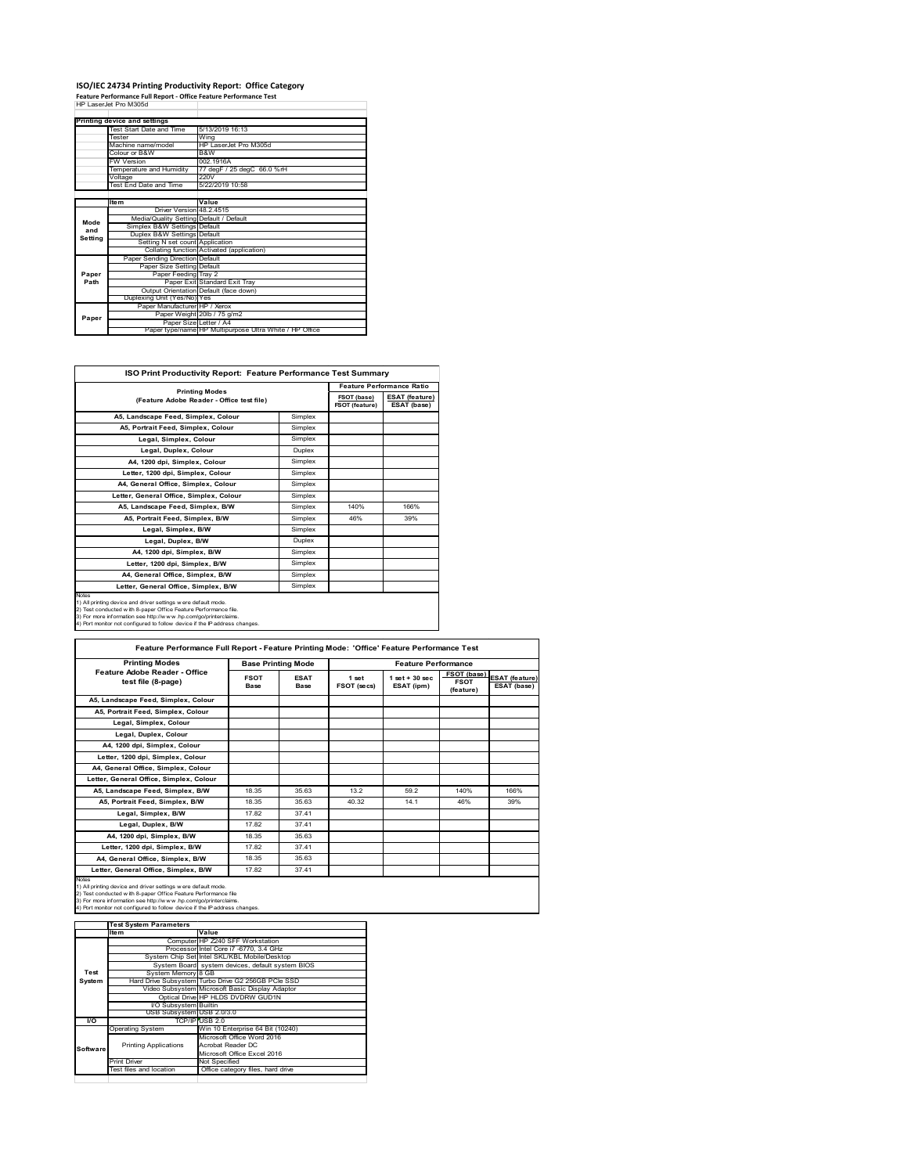# **ISO/IEC 24734 Printing Productivity Report: Office Category Feature Performance Full Report ‐ Office Feature Performance Test** HP LaserJet Pro M305d

|                          | Printing device and settings            |                                                         |
|--------------------------|-----------------------------------------|---------------------------------------------------------|
| Test Start Date and Time |                                         | 5/13/2019 16:13                                         |
|                          | Tester                                  | Wing                                                    |
|                          | Machine name/model                      | HP LaserJet Pro M305d                                   |
|                          | Colour or B&W                           | B&W                                                     |
|                          | <b>FW Version</b>                       | 002 1916A                                               |
|                          | Temperature and Humidity                | 77 degF / 25 degC 66.0 %rH                              |
|                          | Voltage                                 | 220V                                                    |
|                          | Test End Date and Time                  | 5/22/2019 10:58                                         |
|                          |                                         |                                                         |
|                          | <b>Item</b>                             | Value                                                   |
|                          | Driver Version 48 2 4515                |                                                         |
| Mode                     | Media/Quality Setting Default / Default |                                                         |
| and                      | Simplex B&W Settings Default            |                                                         |
| Setting                  | Duplex B&W Settings Default             |                                                         |
|                          | Setting N set count Application         |                                                         |
|                          |                                         | Collating function Activated (application)              |
|                          | Paper Sending Direction Default         |                                                         |
|                          | Paper Size Setting Default              |                                                         |
| Paper                    | Paper Feeding Tray 2                    |                                                         |
| Path                     |                                         | Paper Exit Standard Exit Tray                           |
|                          |                                         | Output Orientation Default (face down)                  |
|                          | Duplexing Unit (Yes/No) Yes             |                                                         |
|                          | Paper Manufacturer HP / Xerox           |                                                         |
| Paper                    |                                         | Paper Weight 20lb / 75 g/m2                             |
|                          | Paper Size Letter / A4                  |                                                         |
|                          |                                         | Paper type/name HP Multipurpose Ultra White / HP Office |

| ISO Print Productivity Report: Feature Performance Test Summary                                                                                                                                                                                                                                   |         |                                  |                                      |  |
|---------------------------------------------------------------------------------------------------------------------------------------------------------------------------------------------------------------------------------------------------------------------------------------------------|---------|----------------------------------|--------------------------------------|--|
|                                                                                                                                                                                                                                                                                                   |         | <b>Feature Performance Ratio</b> |                                      |  |
| <b>Printing Modes</b><br>(Feature Adobe Reader - Office test file)                                                                                                                                                                                                                                |         | FSOT (base)<br>FSOT (feature)    | <b>ESAT (feature)</b><br>ESAT (base) |  |
| A5, Landscape Feed, Simplex, Colour                                                                                                                                                                                                                                                               | Simplex |                                  |                                      |  |
| A5, Portrait Feed, Simplex, Colour                                                                                                                                                                                                                                                                | Simplex |                                  |                                      |  |
| Legal, Simplex, Colour                                                                                                                                                                                                                                                                            | Simplex |                                  |                                      |  |
| Legal, Duplex, Colour                                                                                                                                                                                                                                                                             | Duplex  |                                  |                                      |  |
| A4. 1200 dpi. Simplex. Colour                                                                                                                                                                                                                                                                     | Simplex |                                  |                                      |  |
| Letter, 1200 dpi, Simplex, Colour                                                                                                                                                                                                                                                                 | Simplex |                                  |                                      |  |
| A4. General Office. Simplex. Colour                                                                                                                                                                                                                                                               | Simplex |                                  |                                      |  |
| Letter, General Office, Simplex, Colour                                                                                                                                                                                                                                                           | Simplex |                                  |                                      |  |
| A5. Landscape Feed. Simplex, B/W                                                                                                                                                                                                                                                                  | Simplex | 140%                             | 166%                                 |  |
| A5, Portrait Feed, Simplex, B/W                                                                                                                                                                                                                                                                   | Simplex | 46%                              | 39%                                  |  |
| Legal, Simplex, B/W                                                                                                                                                                                                                                                                               | Simplex |                                  |                                      |  |
| Legal, Duplex, B/W                                                                                                                                                                                                                                                                                | Duplex  |                                  |                                      |  |
| A4, 1200 dpi, Simplex, B/W                                                                                                                                                                                                                                                                        | Simplex |                                  |                                      |  |
| Letter, 1200 dpi, Simplex, B/W                                                                                                                                                                                                                                                                    | Simplex |                                  |                                      |  |
| A4, General Office, Simplex, B/W                                                                                                                                                                                                                                                                  | Simplex |                                  |                                      |  |
| Letter, General Office, Simplex, B/W                                                                                                                                                                                                                                                              | Simplex |                                  |                                      |  |
| <b>Notes</b><br>1) All printing device and driver settings were default mode.<br>2) Test conducted with 8-paper Office Feature Performance file.<br>3) For more information see http://www.hp.com/go/printerclaims.<br>4) Port monitor not configured to follow device if the IP address changes. |         |                                  |                                      |  |

| <b>Printing Modes</b>                               | <b>Base Printing Mode</b> |                     |                      | <b>Feature Performance</b>      |                                         |                                      |  |
|-----------------------------------------------------|---------------------------|---------------------|----------------------|---------------------------------|-----------------------------------------|--------------------------------------|--|
| Feature Adobe Reader - Office<br>test file (8-page) | <b>FSOT</b><br>Base       | <b>ESAT</b><br>Base | 1 set<br>FSOT (secs) | $1$ set $+30$ sec<br>ESAT (ipm) | FSOT (base)<br><b>FSOT</b><br>(feature) | <b>ESAT (feature)</b><br>ESAT (base) |  |
| A5. Landscape Feed. Simplex. Colour                 |                           |                     |                      |                                 |                                         |                                      |  |
| A5, Portrait Feed, Simplex, Colour                  |                           |                     |                      |                                 |                                         |                                      |  |
| Legal, Simplex, Colour                              |                           |                     |                      |                                 |                                         |                                      |  |
| Legal, Duplex, Colour                               |                           |                     |                      |                                 |                                         |                                      |  |
| A4. 1200 dpi. Simplex. Colour                       |                           |                     |                      |                                 |                                         |                                      |  |
| Letter, 1200 dpi, Simplex, Colour                   |                           |                     |                      |                                 |                                         |                                      |  |
| A4, General Office, Simplex, Colour                 |                           |                     |                      |                                 |                                         |                                      |  |
| Letter, General Office, Simplex, Colour             |                           |                     |                      |                                 |                                         |                                      |  |
| A5, Landscape Feed, Simplex, B/W                    | 18.35                     | 35.63               | 13.2                 | 59.2                            | 140%                                    | 166%                                 |  |
| A5, Portrait Feed, Simplex, B/W                     | 18.35                     | 35.63               | 40.32                | 14.1                            | 46%                                     | 39%                                  |  |
| Legal, Simplex, B/W                                 | 1782                      | 37.41               |                      |                                 |                                         |                                      |  |
| Legal, Duplex, B/W                                  | 17.82                     | 37.41               |                      |                                 |                                         |                                      |  |
| A4. 1200 dpi. Simplex. B/W                          | 18.35                     | 35.63               |                      |                                 |                                         |                                      |  |
| Letter, 1200 dpi, Simplex, B/W                      | 1782                      | 37.41               |                      |                                 |                                         |                                      |  |
| A4. General Office. Simplex. B/W                    | 18.35                     | 35.63               |                      |                                 |                                         |                                      |  |
| Letter, General Office, Simplex, B/W                | 17.82                     | 37.41               |                      |                                 |                                         |                                      |  |

1) All printing device and driver settings were default mode.<br>2) Test conducted with 8-paper Office Feature Performance file<br>3) For more information see http://www.hp.com/go/printerclaims.<br>4) Port monitor not configured to

|           | <b>Test System Parameters</b> |                                                    |  |
|-----------|-------------------------------|----------------------------------------------------|--|
|           | Item                          | Value                                              |  |
|           |                               | Computer HP Z240 SFF Workstation                   |  |
|           |                               | Processor Intel Core i7 -6770, 3.4 GHz             |  |
|           |                               | System Chip Set Intel SKL/KBL Mobile/Desktop       |  |
|           |                               | System Board system devices, default system BIOS   |  |
| Test      | System Memory 8 GB            |                                                    |  |
| System    |                               | Hard Drive Subsystem Turbo Drive G2 256GB PCle SSD |  |
|           |                               | Video Subsystem Microsoft Basic Display Adaptor    |  |
|           |                               | Optical Drive HP HLDS DVDRW GUD1N                  |  |
|           | <b>VO Subsystem Builtin</b>   |                                                    |  |
|           | USB Subsystem USB 2.0/3.0     |                                                    |  |
| <b>VO</b> |                               | TCP/IP USB 2.0                                     |  |
|           | <b>Operating System</b>       | Win 10 Enterprise 64 Bit (10240)                   |  |
|           |                               | Microsoft Office Word 2016                         |  |
| Software  | <b>Printing Applications</b>  | Acrobat Reader DC                                  |  |
|           |                               | Microsoft Office Excel 2016                        |  |
|           | <b>Print Driver</b>           | Not Specified                                      |  |
|           | Test files and location       | Office category files, hard drive                  |  |
|           |                               |                                                    |  |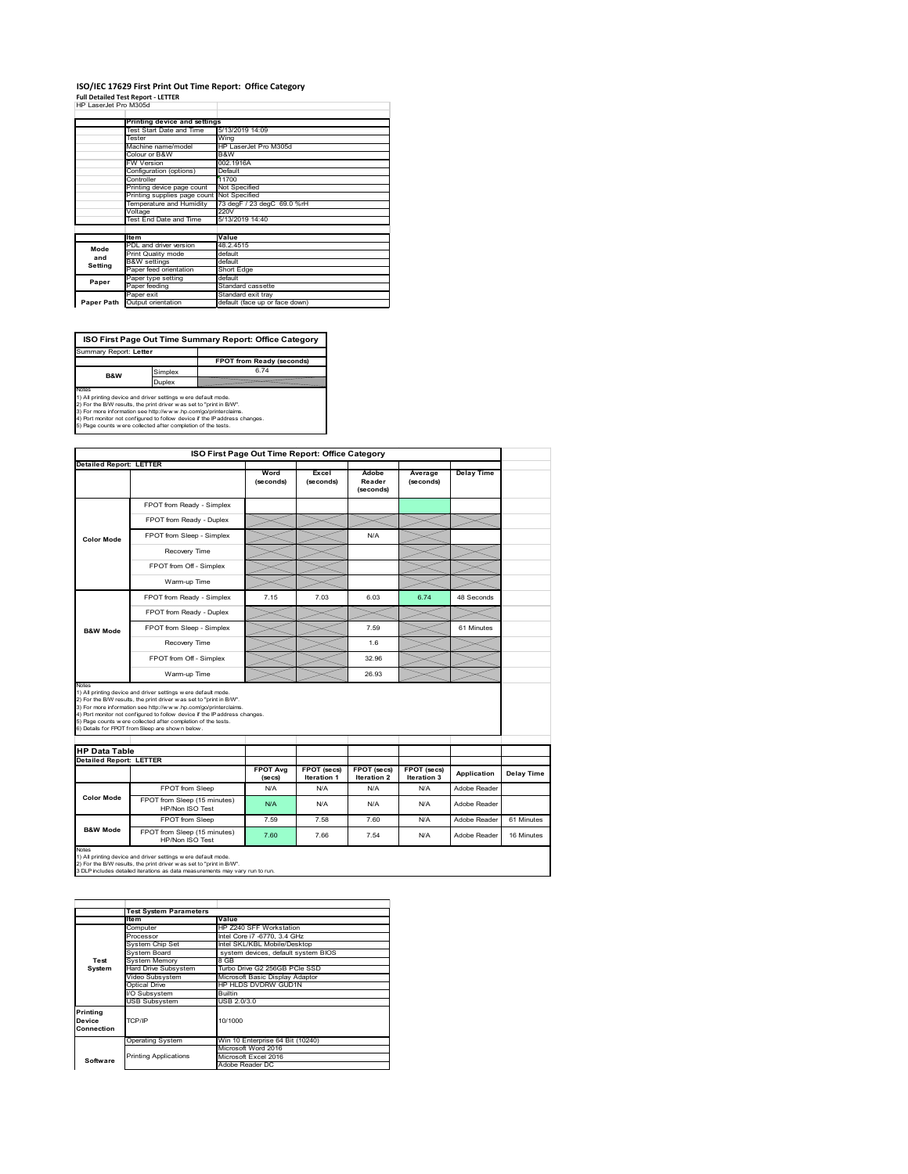## **ISO/IEC 17629 First Print Out Time Report: Office Category**

| <b>Full Detailed Test Report - LETTER</b> |  |
|-------------------------------------------|--|
| HP LaserJet Pro M305d                     |  |

|            | Printing device and settings               |                                |
|------------|--------------------------------------------|--------------------------------|
|            | Test Start Date and Time                   | 5/13/2019 14:09                |
| Tester     |                                            | Wing                           |
|            | Machine name/model                         | HP LaserJet Pro M305d          |
|            | Colour or B&W                              | B&W                            |
|            | <b>FW Version</b>                          | 002.1916A                      |
|            | Configuration (options)                    | Default                        |
|            | Controller                                 | 11700                          |
|            | Printing device page count                 | Not Specified                  |
|            | Printing supplies page count Not Specified |                                |
|            | Temperature and Humidity                   | 73 degF / 23 degC 69.0 %rH     |
|            | Voltage                                    | 220V                           |
|            | Test End Date and Time                     | 5/13/2019 14:40                |
|            |                                            |                                |
|            | <b>Item</b>                                | Value                          |
| Mode       | PDL and driver version                     | 48.2.4515                      |
| and        | Print Quality mode                         | default                        |
| Setting    | <b>B&amp;W</b> settings                    | default                        |
|            | Paper feed orientation                     | <b>Short Edge</b>              |
| Paper      | Paper type setting                         | default                        |
|            | Paper feeding                              | Standard cassette              |
|            | Paper exit                                 | Standard exit tray             |
| Paper Path | Output orientation                         | default (face up or face down) |

**ISO First Page Out Time Summary Report: Office Category** rt: **Letter** 

**FPOT from Ready (seconds)**<br>
Simplex 6.74 **B&W**

**Duplex**<br>Notes<br>1) All printing device and driver settings were default mode.<br>2) For the BM results, the print driver was set to "print in BM".<br>4) For more information see http://www.hp.com/golprinterclaims.<br>4) Port monitor

|                                |                                                                                                                                                                                                                                                                                                                                                                                                              | ISO First Page Out Time Report: Office Category |                            |                              |                            |                   |            |
|--------------------------------|--------------------------------------------------------------------------------------------------------------------------------------------------------------------------------------------------------------------------------------------------------------------------------------------------------------------------------------------------------------------------------------------------------------|-------------------------------------------------|----------------------------|------------------------------|----------------------------|-------------------|------------|
| <b>Detailed Report: LETTER</b> |                                                                                                                                                                                                                                                                                                                                                                                                              |                                                 |                            |                              |                            |                   |            |
|                                |                                                                                                                                                                                                                                                                                                                                                                                                              | Word<br>(seconds)                               | Excel<br>(seconds)         | Adobe<br>Reader<br>(seconds) | Average<br>(seconds)       | <b>Delay Time</b> |            |
|                                | FPOT from Ready - Simplex                                                                                                                                                                                                                                                                                                                                                                                    |                                                 |                            |                              |                            |                   |            |
| <b>Color Mode</b>              | FPOT from Ready - Duplex                                                                                                                                                                                                                                                                                                                                                                                     |                                                 |                            |                              |                            |                   |            |
|                                | FPOT from Sleep - Simplex                                                                                                                                                                                                                                                                                                                                                                                    |                                                 |                            | N/A                          |                            |                   |            |
|                                | Recovery Time                                                                                                                                                                                                                                                                                                                                                                                                |                                                 |                            |                              |                            |                   |            |
|                                | FPOT from Off - Simplex                                                                                                                                                                                                                                                                                                                                                                                      |                                                 |                            |                              |                            |                   |            |
|                                | Warm-up Time                                                                                                                                                                                                                                                                                                                                                                                                 |                                                 |                            |                              |                            |                   |            |
|                                | FPOT from Ready - Simplex                                                                                                                                                                                                                                                                                                                                                                                    | 7.15                                            | 7.03                       | 6.03                         | 6.74                       | 48 Seconds        |            |
|                                | FPOT from Ready - Duplex                                                                                                                                                                                                                                                                                                                                                                                     |                                                 |                            |                              |                            |                   |            |
| <b>B&amp;W Mode</b>            | FPOT from Sleep - Simplex                                                                                                                                                                                                                                                                                                                                                                                    |                                                 |                            | 7.59                         |                            | 61 Minutes        |            |
|                                |                                                                                                                                                                                                                                                                                                                                                                                                              |                                                 |                            | 1.6                          |                            |                   |            |
|                                | Recovery Time                                                                                                                                                                                                                                                                                                                                                                                                |                                                 |                            |                              |                            |                   |            |
|                                | FPOT from Off - Simplex                                                                                                                                                                                                                                                                                                                                                                                      |                                                 |                            | 32.96                        |                            |                   |            |
| Notes                          | Warm-up Time                                                                                                                                                                                                                                                                                                                                                                                                 |                                                 |                            | 26.93                        |                            |                   |            |
| <b>HP Data Table</b>           | 1) All printing device and driver settings w ere default mode.<br>2) For the B/W results, the print driver w as set to "print in B/W".<br>3) For more information see http://www.hp.com/go/printerclaims.<br>4) Port monitor not configured to follow device if the IP address changes.<br>5) Page counts w ere collected after completion of the tests.<br>6) Details for FPOT from Sleep are show n below. |                                                 |                            |                              |                            |                   |            |
|                                |                                                                                                                                                                                                                                                                                                                                                                                                              |                                                 |                            |                              |                            |                   |            |
| <b>Detailed Report: LETTER</b> |                                                                                                                                                                                                                                                                                                                                                                                                              | <b>FPOT Avg</b><br>(se cs)                      | FPOT (secs)<br>Iteration 1 | FPOT (secs)<br>Iteration 2   | FPOT (secs)<br>Iteration 3 | Application       | Delay Time |
|                                | FPOT from Sleep                                                                                                                                                                                                                                                                                                                                                                                              | N/A                                             | N/A                        | N/A                          | N/A                        | Adobe Reader      |            |
| <b>Color Mode</b>              | FPOT from Sleep (15 minutes)<br>HP/Non ISO Test                                                                                                                                                                                                                                                                                                                                                              | N/A                                             | N/A                        | N/A                          | N/A                        | Adobe Reader      |            |
| <b>B&amp;W Mode</b>            | FPOT from Sleep                                                                                                                                                                                                                                                                                                                                                                                              | 7.59                                            | 7.58                       | 7.60                         | N/A                        | Adobe Reader      | 61 Minutes |

|                                  | <b>Test System Parameters</b> |                                     |  |  |  |
|----------------------------------|-------------------------------|-------------------------------------|--|--|--|
|                                  | <b>Item</b>                   | Value                               |  |  |  |
|                                  | Computer                      | HP Z240 SFF Workstation             |  |  |  |
|                                  | Processor                     | Intel Core i7 -6770, 3.4 GHz        |  |  |  |
|                                  | System Chip Set               | Intel SKL/KBL Mobile/Desktop        |  |  |  |
|                                  | System Board                  | system devices, default system BIOS |  |  |  |
| Test                             | <b>System Memory</b>          | 8 GB                                |  |  |  |
| System                           | Hard Drive Subsystem          | Turbo Drive G2 256GB PCle SSD       |  |  |  |
|                                  | Video Subsystem               | Microsoft Basic Display Adaptor     |  |  |  |
|                                  | Optical Drive                 | HP HLDS DVDRW GUD1N                 |  |  |  |
|                                  | I/O Subsystem                 | Builtin                             |  |  |  |
|                                  | <b>USB Subsystem</b>          | USB 2.0/3.0                         |  |  |  |
| Printing<br>Device<br>Connection | TCP/IP                        | 10/1000                             |  |  |  |
|                                  | <b>Operating System</b>       | Win 10 Enterprise 64 Bit (10240)    |  |  |  |
|                                  |                               | Microsoft Word 2016                 |  |  |  |
| Software                         | <b>Printing Applications</b>  | Microsoft Excel 2016                |  |  |  |
|                                  |                               | Adobe Reader DC                     |  |  |  |